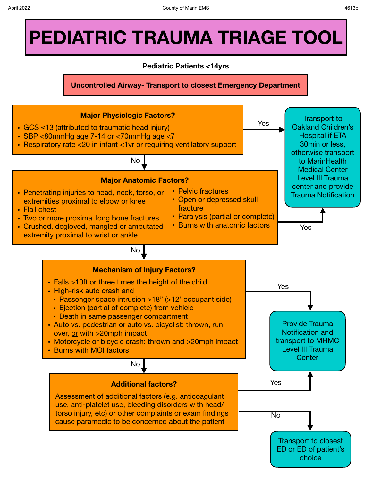# **PEDIATRIC TRAUMA TRIAGE TOOL**

# **Pediatric Patients <14yrs**

**Uncontrolled Airway- Transport to closest Emergency Department**